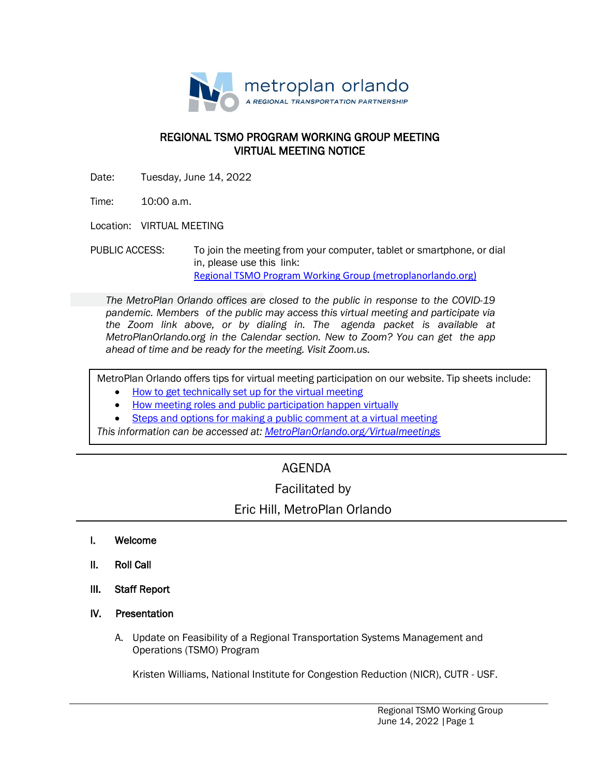

### REGIONAL TSMO PROGRAM WORKING GROUP MEETING VIRTUAL MEETING NOTICE

Date: Tuesday, June 14, 2022

Time: 10:00 a.m.

Location: VIRTUAL MEETING

PUBLIC ACCESS: To join the meeting from your computer, tablet or smartphone, or dial in, please use this link: [Regional TSMO Program Working Group \(metroplanorlando.org\)](https://metroplanorlando.org/meetings/regional-tsmo-program-working-group-06-14-22/)

*The MetroPlan Orlando offices are closed to the public in response to the COVID-19 pandemic. Members of the public may access this virtual meeting and participate via the Zoom link above, or by dialing in. The agenda packet is available at MetroPlanOrlando.org in the Calendar section. New to Zoom? You can get the app ahead of time and be ready for the meeting. Visit Zoom.us.*

MetroPlan Orlando offers tips for virtual meeting participation on our website. Tip sheets include:

- How to [get technically set](https://metroplanorlando.org/wp-content/uploads/VM_TipsSheet_SetUp_Public-FINAL.pdf) up for the virtual meeting
- [How meeting roles](https://metroplanorlando.org/wp-content/uploads/VM_TipsSheet_MeetingRolesAndPublicComment-FINAL.pdf) and public participation happen virtually
- Steps and options for [making a public](https://metroplanorlando.org/wp-content/uploads/Virtual-Meetings-Public-Comment-Procedures-FINAL.pdf) comment at a virtual meeting

*This information can be accessed at: [MetroPlanOrlando.org/Virtualmeetings](https://metroplanorlando.org/board-committees/virtual-meetings/)*

# AGENDA

## Facilitated by

## Eric Hill, MetroPlan Orlando

- I. Welcome
- II. Roll Call
- III. Staff Report
- IV. Presentation
	- A. Update on Feasibility of a Regional Transportation Systems Management and Operations (TSMO) Program

Kristen Williams, National Institute for Congestion Reduction (NICR), CUTR - USF.